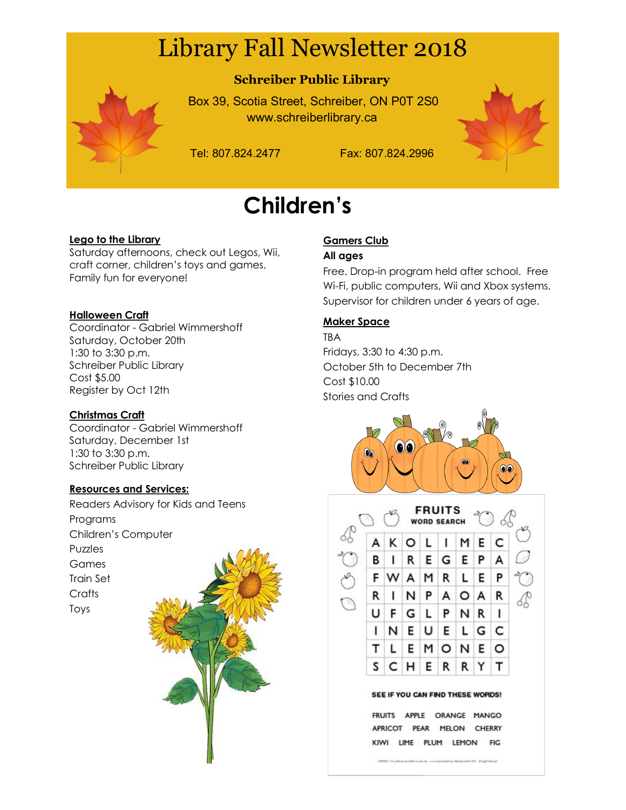# Library Fall Newsletter 2018



## **Schreiber Public Library**

Box 39, Scotia Street, Schreiber, ON P0T 2S0 www.schreiberlibrary.ca

Tel: 807.824.2477 Fax: 807.824.2996

# **Children's**

#### **Lego to the Library**

Saturday afternoons, check out Legos, Wii, craft corner, children's toys and games. Family fun for everyone!

#### **Halloween Craft**

Coordinator - Gabriel Wimmershoff Saturday, October 20th 1:30 to 3:30 p.m. Schreiber Public Library Cost \$5.00 Register by Oct 12th

#### **Christmas Craft**

Coordinator - Gabriel Wimmershoff Saturday, December 1st 1:30 to 3:30 p.m. Schreiber Public Library

#### **Resources and Services:**

Readers Advisory for Kids and Teens Programs Children's Computer Puzzles Games Train Set **Crafts** Toys



### **Gamers Club**

#### **All ages**

Free. Drop-in program held after school. Free Wi-Fi, public computers, Wii and Xbox systems. Supervisor for children under 6 years of age.

#### **Maker Space**

TBA Fridays, 3:30 to 4:30 p.m. October 5th to December 7th Cost \$10.00 Stories and Crafts





FRUITS APPLE ORANGE MANGO APRICOT PEAR MELON CHERRY KIWI LIME PLUM LEMON **FIG** 

HRSN FOUR-ENGINEERING experiences described 29 structures